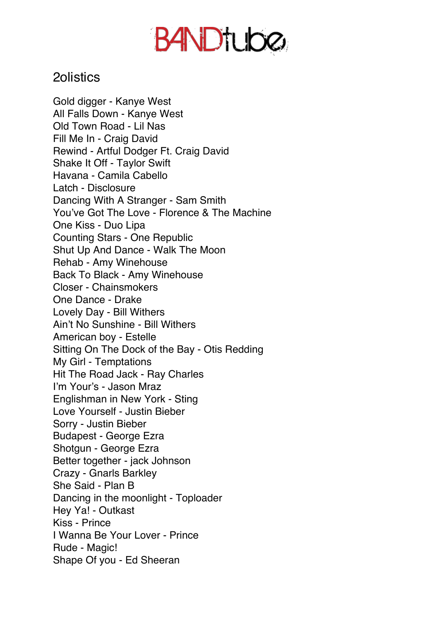

## 2olistics

Gold digger - Kanye West All Falls Down - Kanye West Old Town Road - Lil Nas Fill Me In - Craig David Rewind - Artful Dodger Ft. Craig David Shake It Off - Taylor Swift Havana - Camila Cabello Latch - Disclosure Dancing With A Stranger - Sam Smith You've Got The Love - Florence & The Machine One Kiss - Duo Lipa Counting Stars - One Republic Shut Up And Dance - Walk The Moon Rehab - Amy Winehouse Back To Black - Amy Winehouse Closer - Chainsmokers One Dance - Drake Lovely Day - Bill Withers Ain't No Sunshine - Bill Withers American boy - Estelle Sitting On The Dock of the Bay - Otis Redding My Girl - Temptations Hit The Road Jack - Ray Charles I'm Your's - Jason Mraz Englishman in New York - Sting Love Yourself - Justin Bieber Sorry - Justin Bieber Budapest - George Ezra Shotgun - George Ezra Better together - jack Johnson Crazy - Gnarls Barkley She Said - Plan B Dancing in the moonlight - Toploader Hey Ya! - Outkast Kiss - Prince I Wanna Be Your Lover - Prince Rude - Magic! Shape Of you - Ed Sheeran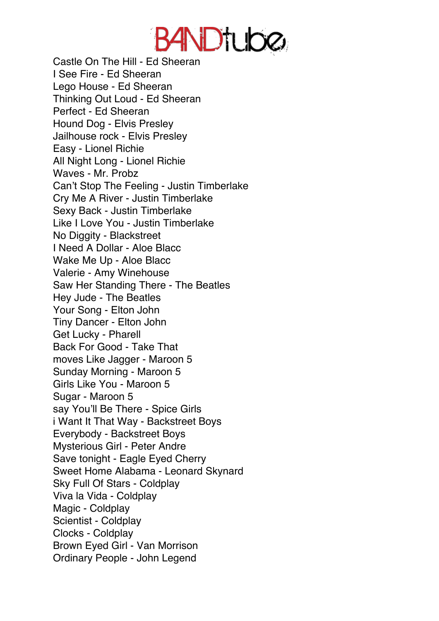

Castle On The Hill - Ed Sheeran I See Fire - Ed Sheeran Lego House - Ed Sheeran Thinking Out Loud - Ed Sheeran Perfect - Ed Sheeran Hound Dog - Elvis Presley Jailhouse rock - Elvis Presley Easy - Lionel Richie All Night Long - Lionel Richie Waves - Mr. Probz Can't Stop The Feeling - Justin Timberlake Cry Me A River - Justin Timberlake Sexy Back - Justin Timberlake Like I Love You - Justin Timberlake No Diggity - Blackstreet I Need A Dollar - Aloe Blacc Wake Me Up - Aloe Blacc Valerie - Amy Winehouse Saw Her Standing There - The Beatles Hey Jude - The Beatles Your Song - Elton John Tiny Dancer - Elton John Get Lucky - Pharell Back For Good - Take That moves Like Jagger - Maroon 5 Sunday Morning - Maroon 5 Girls Like You - Maroon 5 Sugar - Maroon 5 say You'll Be There - Spice Girls i Want It That Way - Backstreet Boys Everybody - Backstreet Boys Mysterious Girl - Peter Andre Save tonight - Eagle Eyed Cherry Sweet Home Alabama - Leonard Skynard Sky Full Of Stars - Coldplay Viva la Vida - Coldplay Magic - Coldplay Scientist - Coldplay Clocks - Coldplay Brown Eyed Girl - Van Morrison Ordinary People - John Legend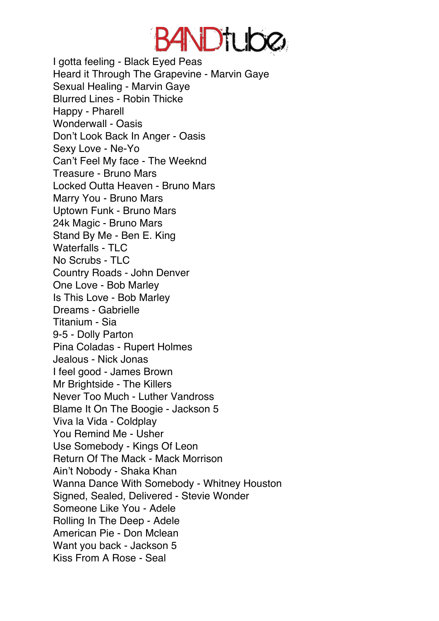

I gotta feeling - Black Eyed Peas Heard it Through The Grapevine - Marvin Gaye Sexual Healing - Marvin Gaye Blurred Lines - Robin Thicke Happy - Pharell Wonderwall - Oasis Don't Look Back In Anger - Oasis Sexy Love - Ne-Yo Can't Feel My face - The Weeknd Treasure - Bruno Mars Locked Outta Heaven - Bruno Mars Marry You - Bruno Mars Uptown Funk - Bruno Mars 24k Magic - Bruno Mars Stand By Me - Ben E. King Waterfalls - TLC No Scrubs - TLC Country Roads - John Denver One Love - Bob Marley Is This Love - Bob Marley Dreams - Gabrielle Titanium - Sia 9-5 - Dolly Parton Pina Coladas - Rupert Holmes Jealous - Nick Jonas I feel good - James Brown Mr Brightside - The Killers Never Too Much - Luther Vandross Blame It On The Boogie - Jackson 5 Viva la Vida - Coldplay You Remind Me - Usher Use Somebody - Kings Of Leon Return Of The Mack - Mack Morrison Ain't Nobody - Shaka Khan Wanna Dance With Somebody - Whitney Houston Signed, Sealed, Delivered - Stevie Wonder Someone Like You - Adele Rolling In The Deep - Adele American Pie - Don Mclean Want you back - Jackson 5 Kiss From A Rose - Seal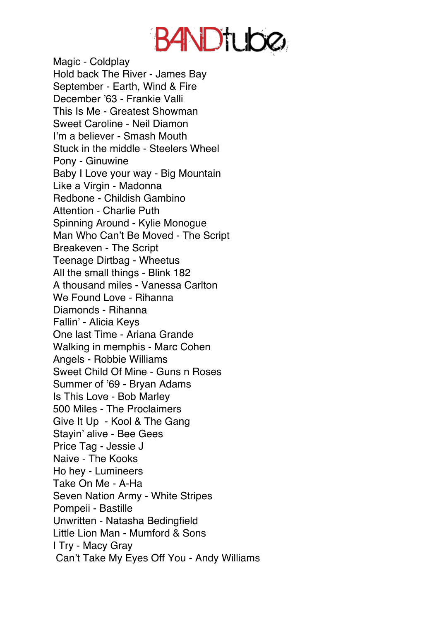

Magic - Coldplay Hold back The River - James Bay September - Earth, Wind & Fire December '63 - Frankie Valli This Is Me - Greatest Showman Sweet Caroline - Neil Diamon I'm a believer - Smash Mouth Stuck in the middle - Steelers Wheel Pony - Ginuwine Baby I Love your way - Big Mountain Like a Virgin - Madonna Redbone - Childish Gambino Attention - Charlie Puth Spinning Around - Kylie Monogue Man Who Can't Be Moved - The Script Breakeven - The Script Teenage Dirtbag - Wheetus All the small things - Blink 182 A thousand miles - Vanessa Carlton We Found Love - Rihanna Diamonds - Rihanna Fallin' - Alicia Keys One last Time - Ariana Grande Walking in memphis - Marc Cohen Angels - Robbie Williams Sweet Child Of Mine - Guns n Roses Summer of '69 - Bryan Adams Is This Love - Bob Marley 500 Miles - The Proclaimers Give It Up - Kool & The Gang Stayin' alive - Bee Gees Price Tag - Jessie J Naive - The Kooks Ho hey - Lumineers Take On Me - A-Ha Seven Nation Army - White Stripes Pompeii - Bastille Unwritten - Natasha Bedingfield Little Lion Man - Mumford & Sons I Try - Macy Gray Can't Take My Eyes Off You - Andy Williams